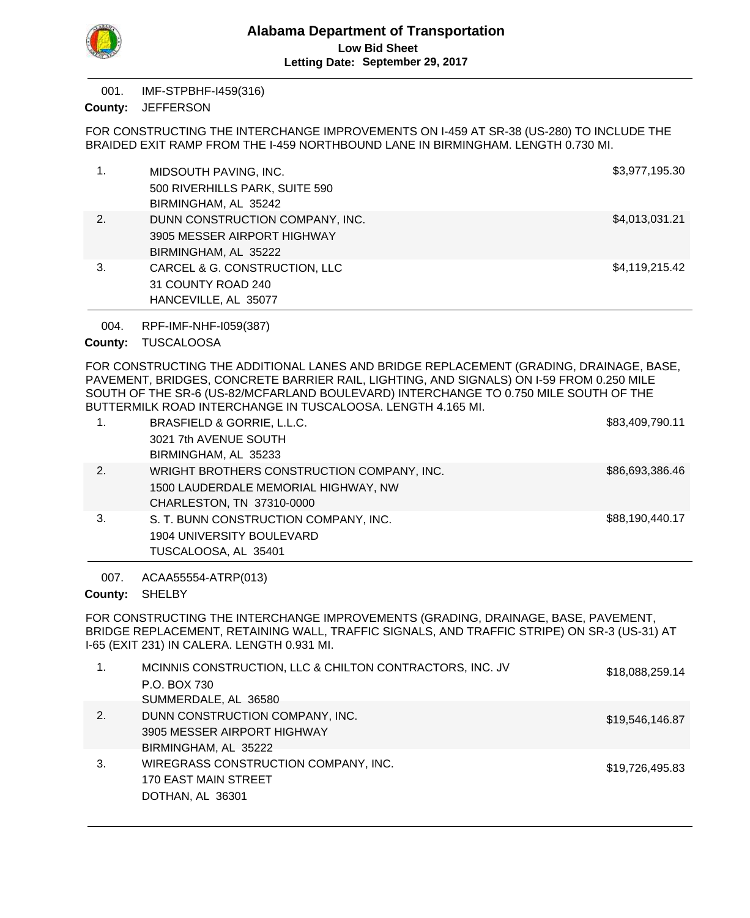

IMF-STPBHF-I459(316) 001.

County: JEFFERSON

FOR CONSTRUCTING THE INTERCHANGE IMPROVEMENTS ON I-459 AT SR-38 (US-280) TO INCLUDE THE BRAIDED EXIT RAMP FROM THE I-459 NORTHBOUND LANE IN BIRMINGHAM. LENGTH 0.730 MI.

|    | MIDSOUTH PAVING, INC.<br>500 RIVERHILLS PARK, SUITE 590<br>BIRMINGHAM, AL 35242        | \$3,977,195.30 |
|----|----------------------------------------------------------------------------------------|----------------|
| 2. | DUNN CONSTRUCTION COMPANY, INC.<br>3905 MESSER AIRPORT HIGHWAY<br>BIRMINGHAM, AL 35222 | \$4,013,031.21 |
| 3. | CARCEL & G. CONSTRUCTION, LLC<br>31 COUNTY ROAD 240<br>HANCEVILLE, AL 35077            | \$4,119,215.42 |

RPF-IMF-NHF-I059(387) 004.

County: TUSCALOOSA

FOR CONSTRUCTING THE ADDITIONAL LANES AND BRIDGE REPLACEMENT (GRADING, DRAINAGE, BASE, PAVEMENT, BRIDGES, CONCRETE BARRIER RAIL, LIGHTING, AND SIGNALS) ON I-59 FROM 0.250 MILE SOUTH OF THE SR-6 (US-82/MCFARLAND BOULEVARD) INTERCHANGE TO 0.750 MILE SOUTH OF THE BUTTERMILK ROAD INTERCHANGE IN TUSCALOOSA. LENGTH 4.165 MI.

| 1. | BRASFIELD & GORRIE, L.L.C.                 | \$83,409,790.11 |
|----|--------------------------------------------|-----------------|
|    | 3021 7th AVENUE SOUTH                      |                 |
|    | BIRMINGHAM, AL 35233                       |                 |
| 2. | WRIGHT BROTHERS CONSTRUCTION COMPANY, INC. | \$86,693,386.46 |
|    | 1500 LAUDERDALE MEMORIAL HIGHWAY, NW       |                 |
|    | CHARLESTON, TN 37310-0000                  |                 |
| 3. | S. T. BUNN CONSTRUCTION COMPANY, INC.      | \$88,190,440.17 |
|    | 1904 UNIVERSITY BOULEVARD                  |                 |
|    | TUSCALOOSA, AL 35401                       |                 |

ACAA55554-ATRP(013) 007.

County: SHELBY

FOR CONSTRUCTING THE INTERCHANGE IMPROVEMENTS (GRADING, DRAINAGE, BASE, PAVEMENT, BRIDGE REPLACEMENT, RETAINING WALL, TRAFFIC SIGNALS, AND TRAFFIC STRIPE) ON SR-3 (US-31) AT I-65 (EXIT 231) IN CALERA. LENGTH 0.931 MI.

| 1. | MCINNIS CONSTRUCTION, LLC & CHILTON CONTRACTORS, INC. JV | \$18,088,259.14 |
|----|----------------------------------------------------------|-----------------|
|    | P.O. BOX 730                                             |                 |
|    | SUMMERDALE, AL 36580                                     |                 |
| 2. | DUNN CONSTRUCTION COMPANY, INC.                          | \$19,546,146.87 |
|    | 3905 MESSER AIRPORT HIGHWAY                              |                 |
|    | BIRMINGHAM, AL 35222                                     |                 |
| 3. | WIREGRASS CONSTRUCTION COMPANY, INC.                     | \$19,726,495.83 |
|    | 170 EAST MAIN STREET                                     |                 |
|    | DOTHAN, AL 36301                                         |                 |
|    |                                                          |                 |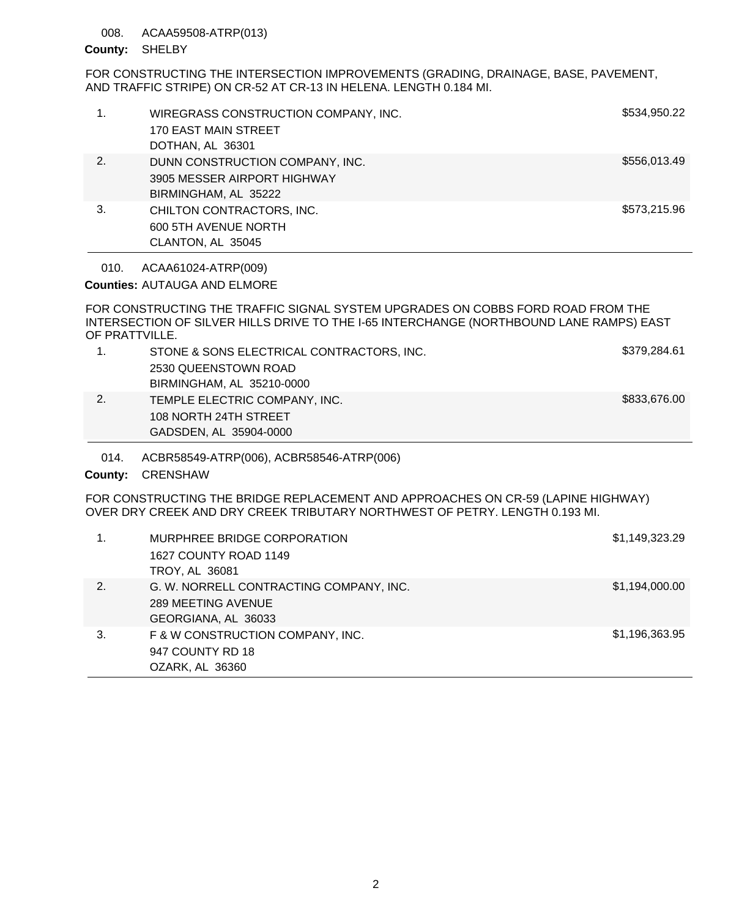## 008. ACAA59508-ATRP(013)

#### County: SHELBY

FOR CONSTRUCTING THE INTERSECTION IMPROVEMENTS (GRADING, DRAINAGE, BASE, PAVEMENT, AND TRAFFIC STRIPE) ON CR-52 AT CR-13 IN HELENA. LENGTH 0.184 MI.

| 1.              | WIREGRASS CONSTRUCTION COMPANY, INC.<br><b>170 EAST MAIN STREET</b><br>DOTHAN, AL 36301                                                                                    | \$534,950.22   |
|-----------------|----------------------------------------------------------------------------------------------------------------------------------------------------------------------------|----------------|
| 2.              | DUNN CONSTRUCTION COMPANY, INC.<br>3905 MESSER AIRPORT HIGHWAY<br>BIRMINGHAM, AL 35222                                                                                     | \$556,013.49   |
| 3.              | CHILTON CONTRACTORS, INC.<br>600 5TH AVENUE NORTH<br>CLANTON, AL 35045                                                                                                     | \$573,215.96   |
| 010.            | ACAA61024-ATRP(009)                                                                                                                                                        |                |
|                 | <b>Counties: AUTAUGA AND ELMORE</b>                                                                                                                                        |                |
| OF PRATTVILLE.  | FOR CONSTRUCTING THE TRAFFIC SIGNAL SYSTEM UPGRADES ON COBBS FORD ROAD FROM THE<br>INTERSECTION OF SILVER HILLS DRIVE TO THE I-65 INTERCHANGE (NORTHBOUND LANE RAMPS) EAST |                |
| $\mathbf{1}$ .  | STONE & SONS ELECTRICAL CONTRACTORS, INC.<br>2530 QUEENSTOWN ROAD<br>BIRMINGHAM, AL 35210-0000                                                                             | \$379,284.61   |
| 2.              | TEMPLE ELECTRIC COMPANY, INC.<br>108 NORTH 24TH STREET<br>GADSDEN, AL 35904-0000                                                                                           | \$833,676.00   |
| 014.<br>County: | ACBR58549-ATRP(006), ACBR58546-ATRP(006)<br><b>CRENSHAW</b>                                                                                                                |                |
|                 | FOR CONSTRUCTING THE BRIDGE REPLACEMENT AND APPROACHES ON CR-59 (LAPINE HIGHWAY)<br>OVER DRY CREEK AND DRY CREEK TRIBUTARY NORTHWEST OF PETRY. LENGTH 0.193 MI.            |                |
| 1.              | MURPHREE BRIDGE CORPORATION<br>1627 COUNTY ROAD 1149<br>TROY, AL 36081                                                                                                     | \$1,149,323.29 |
| $\sim$          | C. W. NODDELL CONTRACTING COMPANY INC                                                                                                                                      | 0.4.4040000    |

| <b>INUT, AL 3000T</b>                   |                |
|-----------------------------------------|----------------|
| G. W. NORRELL CONTRACTING COMPANY, INC. | \$1,194,000.00 |
| 289 MEETING AVENUE                      |                |
| GEORGIANA, AL 36033                     |                |
| F & W CONSTRUCTION COMPANY, INC.        | \$1,196,363.95 |
| 947 COUNTY RD 18                        |                |
| OZARK, AL 36360                         |                |
|                                         |                |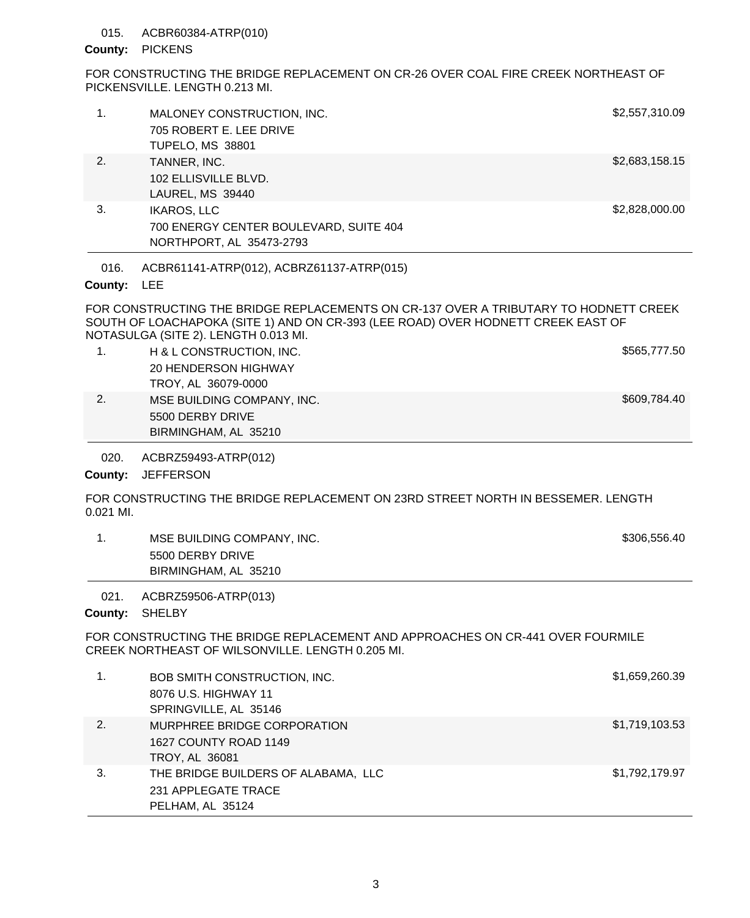## 015. ACBR60384-ATRP(010)

## County: PICKENS

FOR CONSTRUCTING THE BRIDGE REPLACEMENT ON CR-26 OVER COAL FIRE CREEK NORTHEAST OF PICKENSVILLE. LENGTH 0.213 MI.

|                 |                                                                                          | EAR AANATRUATINA TUE BRIBAE BERLACEMENTA AN AR 497 AVER A TRIBUTARY TA HABNETT ABEEIZ |
|-----------------|------------------------------------------------------------------------------------------|---------------------------------------------------------------------------------------|
| 016.<br>County: | ACBR61141-ATRP(012), ACBRZ61137-ATRP(015)<br><b>LEE</b>                                  |                                                                                       |
| 3.              | <b>IKAROS, LLC</b><br>700 ENERGY CENTER BOULEVARD, SUITE 404<br>NORTHPORT, AL 35473-2793 | \$2,828,000.00                                                                        |
| 2.              | TANNER, INC.<br>102 ELLISVILLE BLVD.<br>LAUREL, MS 39440                                 | \$2,683,158.15                                                                        |
| 1.              | MALONEY CONSTRUCTION, INC.<br>705 ROBERT E. LEE DRIVE<br><b>TUPELO, MS 38801</b>         | \$2,557,310.09                                                                        |
|                 |                                                                                          |                                                                                       |

FOR CONSTRUCTING THE BRIDGE REPLACEMENTS ON CR-137 OVER A TRIBUTARY TO HODNETT CREEK SOUTH OF LOACHAPOKA (SITE 1) AND ON CR-393 (LEE ROAD) OVER HODNETT CREEK EAST OF NOTASULGA (SITE 2). LENGTH 0.013 MI.

|    | H & L CONSTRUCTION, INC.   | \$565,777.50 |
|----|----------------------------|--------------|
|    | 20 HENDERSON HIGHWAY       |              |
|    | TROY, AL 36079-0000        |              |
| 2. | MSE BUILDING COMPANY, INC. | \$609.784.40 |
|    | 5500 DERBY DRIVE           |              |

ACBRZ59493-ATRP(012) 020.

BIRMINGHAM, AL 35210

County: JEFFERSON

FOR CONSTRUCTING THE BRIDGE REPLACEMENT ON 23RD STREET NORTH IN BESSEMER. LENGTH 0.021 MI.

| MSE BUILDING COMPANY, INC. | \$306,556.40 |
|----------------------------|--------------|
| 5500 DERBY DRIVE           |              |
| BIRMINGHAM, AL 35210       |              |

021. ACBRZ59506-ATRP(013)

County: SHELBY

FOR CONSTRUCTING THE BRIDGE REPLACEMENT AND APPROACHES ON CR-441 OVER FOURMILE CREEK NORTHEAST OF WILSONVILLE. LENGTH 0.205 MI.

| 1. | BOB SMITH CONSTRUCTION, INC.        | \$1,659,260.39 |
|----|-------------------------------------|----------------|
|    | 8076 U.S. HIGHWAY 11                |                |
|    | SPRINGVILLE, AL 35146               |                |
| 2. | MURPHREE BRIDGE CORPORATION         | \$1,719,103.53 |
|    | 1627 COUNTY ROAD 1149               |                |
|    | <b>TROY, AL 36081</b>               |                |
| 3. | THE BRIDGE BUILDERS OF ALABAMA, LLC | \$1,792,179.97 |
|    | 231 APPLEGATE TRACE                 |                |
|    | PELHAM, AL 35124                    |                |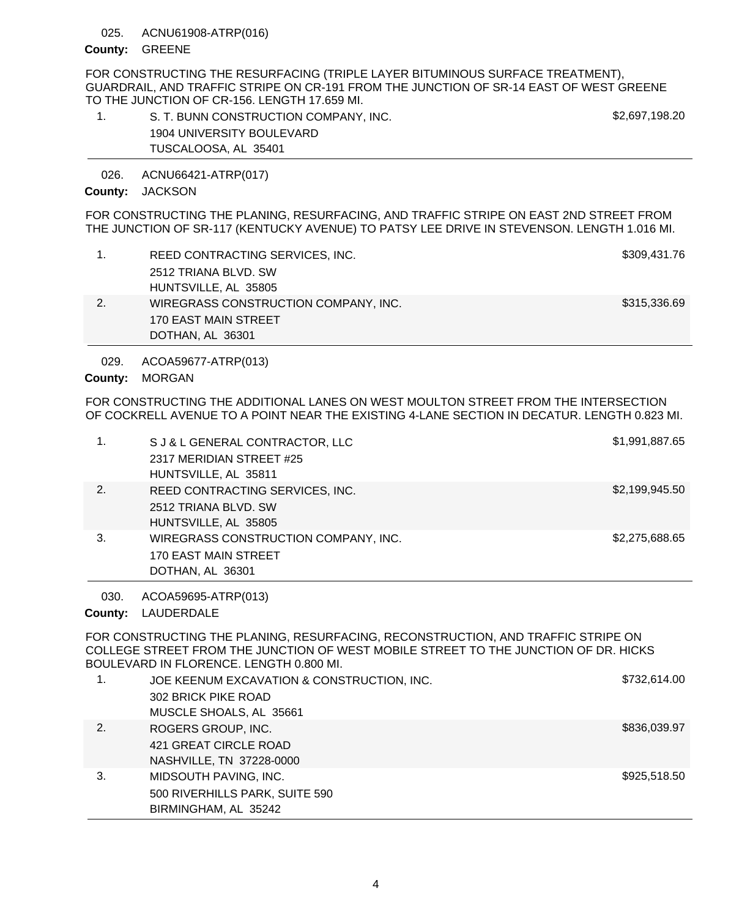#### ACNU61908-ATRP(016) 025.

## County: GREENE

FOR CONSTRUCTING THE RESURFACING (TRIPLE LAYER BITUMINOUS SURFACE TREATMENT), GUARDRAIL, AND TRAFFIC STRIPE ON CR-191 FROM THE JUNCTION OF SR-14 EAST OF WEST GREENE TO THE JUNCTION OF CR-156. LENGTH 17.659 MI.

| S. T. BUNN CONSTRUCTION COMPANY, INC. | \$2,697,198.20 |
|---------------------------------------|----------------|
| 1904 UNIVERSITY BOULEVARD             |                |
| TUSCALOOSA, AL 35401                  |                |

ACNU66421-ATRP(017) 026.

## County: JACKSON

FOR CONSTRUCTING THE PLANING, RESURFACING, AND TRAFFIC STRIPE ON EAST 2ND STREET FROM THE JUNCTION OF SR-117 (KENTUCKY AVENUE) TO PATSY LEE DRIVE IN STEVENSON. LENGTH 1.016 MI.

| REED CONTRACTING SERVICES, INC.      | \$309,431.76 |
|--------------------------------------|--------------|
| 2512 TRIANA BLVD, SW                 |              |
| HUNTSVILLE, AL 35805                 |              |
| WIREGRASS CONSTRUCTION COMPANY, INC. | \$315,336.69 |
| 170 EAST MAIN STREET                 |              |
| DOTHAN, AL 36301                     |              |

ACOA59677-ATRP(013) 029.

# County: MORGAN

FOR CONSTRUCTING THE ADDITIONAL LANES ON WEST MOULTON STREET FROM THE INTERSECTION OF COCKRELL AVENUE TO A POINT NEAR THE EXISTING 4-LANE SECTION IN DECATUR. LENGTH 0.823 MI.

| 1. | S J & L GENERAL CONTRACTOR, LLC<br>2317 MERIDIAN STREET #25<br>HUNTSVILLE, AL 35811 | \$1,991,887.65 |
|----|-------------------------------------------------------------------------------------|----------------|
| 2. | REED CONTRACTING SERVICES, INC.<br>2512 TRIANA BLVD, SW<br>HUNTSVILLE, AL 35805     | \$2,199,945.50 |
| 3. | WIREGRASS CONSTRUCTION COMPANY, INC.<br>170 EAST MAIN STREET<br>DOTHAN, AL 36301    | \$2,275,688.65 |

ACOA59695-ATRP(013) 030.

County: LAUDERDALE

FOR CONSTRUCTING THE PLANING, RESURFACING, RECONSTRUCTION, AND TRAFFIC STRIPE ON COLLEGE STREET FROM THE JUNCTION OF WEST MOBILE STREET TO THE JUNCTION OF DR. HICKS BOULEVARD IN FLORENCE. LENGTH 0.800 MI.

|    | JOE KEENUM EXCAVATION & CONSTRUCTION, INC.<br>302 BRICK PIKE ROAD | \$732,614.00 |
|----|-------------------------------------------------------------------|--------------|
|    | MUSCLE SHOALS, AL 35661                                           |              |
| 2. | ROGERS GROUP, INC.                                                | \$836,039.97 |
|    | 421 GREAT CIRCLE ROAD                                             |              |
|    | NASHVILLE, TN 37228-0000                                          |              |
| 3. | MIDSOUTH PAVING, INC.                                             | \$925,518.50 |
|    | 500 RIVERHILLS PARK, SUITE 590                                    |              |
|    | BIRMINGHAM, AL 35242                                              |              |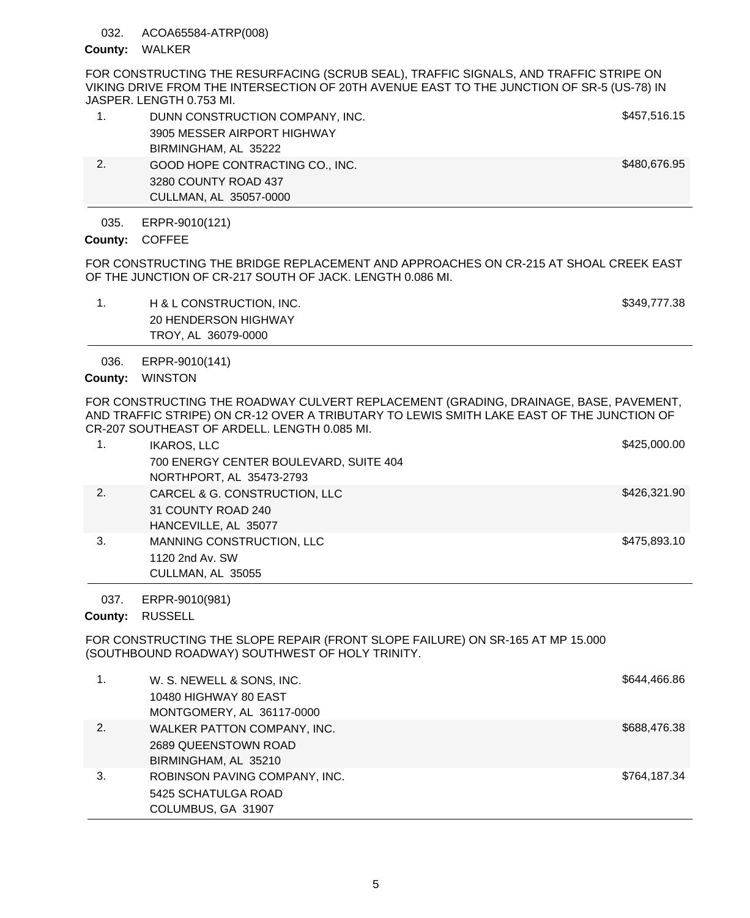## 032. ACOA65584-ATRP(008)

#### County: WALKER

FOR CONSTRUCTING THE RESURFACING (SCRUB SEAL), TRAFFIC SIGNALS, AND TRAFFIC STRIPE ON VIKING DRIVE FROM THE INTERSECTION OF 20TH AVENUE EAST TO THE JUNCTION OF SR-5 (US-78) IN JASPER. LENGTH 0.753 MI.

|    | DUNN CONSTRUCTION COMPANY, INC. | \$457,516.15 |
|----|---------------------------------|--------------|
|    | 3905 MESSER AIRPORT HIGHWAY     |              |
|    | BIRMINGHAM, AL 35222            |              |
| 2. | GOOD HOPE CONTRACTING CO., INC. | \$480,676.95 |
|    | 3280 COUNTY ROAD 437            |              |
|    | CULLMAN, AL 35057-0000          |              |

ERPR-9010(121) 035.

County: COFFEE

FOR CONSTRUCTING THE BRIDGE REPLACEMENT AND APPROACHES ON CR-215 AT SHOAL CREEK EAST OF THE JUNCTION OF CR-217 SOUTH OF JACK. LENGTH 0.086 MI.

1. H& L CONSTRUCTION, INC. **In the same of the set of the set of the set of the set of the set of the set of the set of the set of the set of the set of the set of the set of the set of the set of the set of the set of the** 20 HENDERSON HIGHWAY TROY, AL 36079-0000

ERPR-9010(141) 036.

# County: WINSTON

FOR CONSTRUCTING THE ROADWAY CULVERT REPLACEMENT (GRADING, DRAINAGE, BASE, PAVEMENT, AND TRAFFIC STRIPE) ON CR-12 OVER A TRIBUTARY TO LEWIS SMITH LAKE EAST OF THE JUNCTION OF CR-207 SOUTHEAST OF ARDELL. LENGTH 0.085 MI.

|    | <b>IKAROS, LLC</b>                     | \$425,000.00 |
|----|----------------------------------------|--------------|
|    | 700 ENERGY CENTER BOULEVARD, SUITE 404 |              |
|    | NORTHPORT, AL 35473-2793               |              |
| 2. | CARCEL & G. CONSTRUCTION, LLC          | \$426,321.90 |
|    | 31 COUNTY ROAD 240                     |              |
|    | HANCEVILLE, AL 35077                   |              |
| 3. | MANNING CONSTRUCTION, LLC              | \$475,893.10 |
|    | 1120 2nd Av. SW                        |              |
|    | CULLMAN, AL 35055                      |              |

ERPR-9010(981) 037.

County: RUSSELL

FOR CONSTRUCTING THE SLOPE REPAIR (FRONT SLOPE FAILURE) ON SR-165 AT MP 15.000 (SOUTHBOUND ROADWAY) SOUTHWEST OF HOLY TRINITY.

|    | W. S. NEWELL & SONS, INC.<br>10480 HIGHWAY 80 EAST<br>MONTGOMERY, AL 36117-0000 | \$644,466.86 |
|----|---------------------------------------------------------------------------------|--------------|
| 2. | WALKER PATTON COMPANY, INC.<br>2689 QUEENSTOWN ROAD<br>BIRMINGHAM, AL 35210     | \$688,476.38 |
| 3. | ROBINSON PAVING COMPANY, INC.<br>5425 SCHATULGA ROAD<br>COLUMBUS, GA 31907      | \$764,187.34 |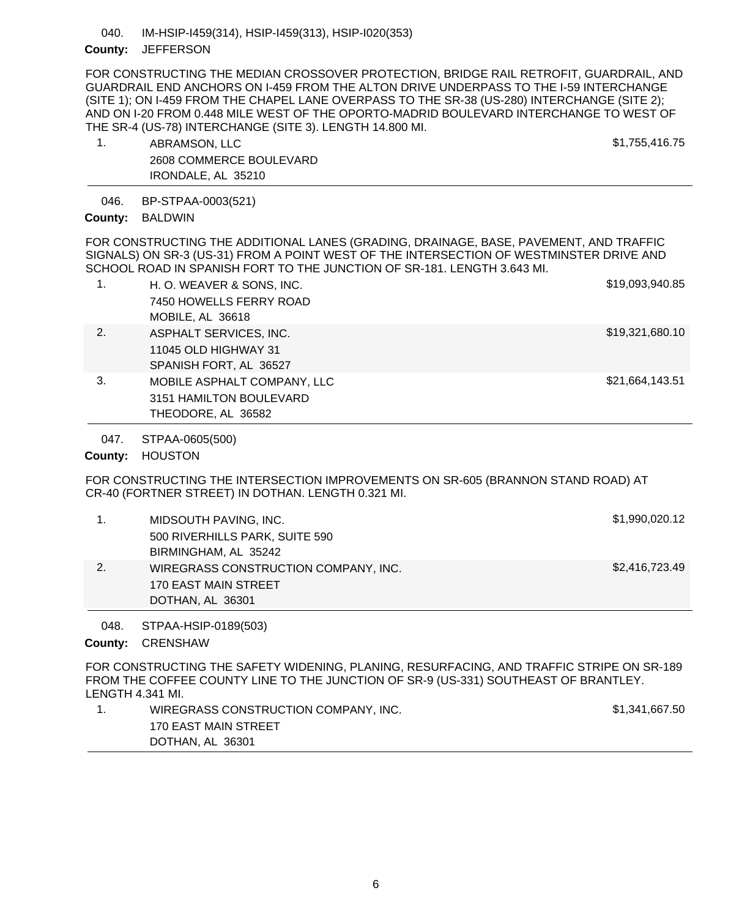#### IM-HSIP-I459(314), HSIP-I459(313), HSIP-I020(353) 040.

## County: JEFFERSON

FOR CONSTRUCTING THE MEDIAN CROSSOVER PROTECTION, BRIDGE RAIL RETROFIT, GUARDRAIL, AND GUARDRAIL END ANCHORS ON I-459 FROM THE ALTON DRIVE UNDERPASS TO THE I-59 INTERCHANGE (SITE 1); ON I-459 FROM THE CHAPEL LANE OVERPASS TO THE SR-38 (US-280) INTERCHANGE (SITE 2); AND ON I-20 FROM 0.448 MILE WEST OF THE OPORTO-MADRID BOULEVARD INTERCHANGE TO WEST OF THE SR-4 (US-78) INTERCHANGE (SITE 3). LENGTH 14.800 MI.

1. ABRAMSON, LLC \$1,755,416.75 2608 COMMERCE BOULEVARD IRONDALE, AL 35210

BP-STPAA-0003(521) 046.

County: BALDWIN

FOR CONSTRUCTING THE ADDITIONAL LANES (GRADING, DRAINAGE, BASE, PAVEMENT, AND TRAFFIC SIGNALS) ON SR-3 (US-31) FROM A POINT WEST OF THE INTERSECTION OF WESTMINSTER DRIVE AND SCHOOL ROAD IN SPANISH FORT TO THE JUNCTION OF SR-181. LENGTH 3.643 MI.

| 1. | H. O. WEAVER & SONS, INC.   | \$19,093,940.85 |
|----|-----------------------------|-----------------|
|    | 7450 HOWELLS FERRY ROAD     |                 |
|    | MOBILE, AL 36618            |                 |
| 2. | ASPHALT SERVICES, INC.      | \$19,321,680.10 |
|    | 11045 OLD HIGHWAY 31        |                 |
|    | SPANISH FORT, AL 36527      |                 |
| 3. | MOBILE ASPHALT COMPANY, LLC | \$21,664,143.51 |
|    | 3151 HAMILTON BOULEVARD     |                 |
|    | THEODORE, AL 36582          |                 |

STPAA-0605(500) 047.

County: HOUSTON

FOR CONSTRUCTING THE INTERSECTION IMPROVEMENTS ON SR-605 (BRANNON STAND ROAD) AT CR-40 (FORTNER STREET) IN DOTHAN. LENGTH 0.321 MI.

| MIDSOUTH PAVING, INC.                | \$1,990,020.12 |
|--------------------------------------|----------------|
| 500 RIVERHILLS PARK, SUITE 590       |                |
| BIRMINGHAM, AL 35242                 |                |
| WIREGRASS CONSTRUCTION COMPANY, INC. | \$2,416,723.49 |
| 170 EAST MAIN STREET                 |                |
| DOTHAN, AL 36301                     |                |

STPAA-HSIP-0189(503) 048.

County: **CRENSHAW** 

FOR CONSTRUCTING THE SAFETY WIDENING, PLANING, RESURFACING, AND TRAFFIC STRIPE ON SR-189 FROM THE COFFEE COUNTY LINE TO THE JUNCTION OF SR-9 (US-331) SOUTHEAST OF BRANTLEY. LENGTH 4.341 MI.

1. WIREGRASS CONSTRUCTION COMPANY, INC. \$1,341,667.50 170 EAST MAIN STREET DOTHAN, AL 36301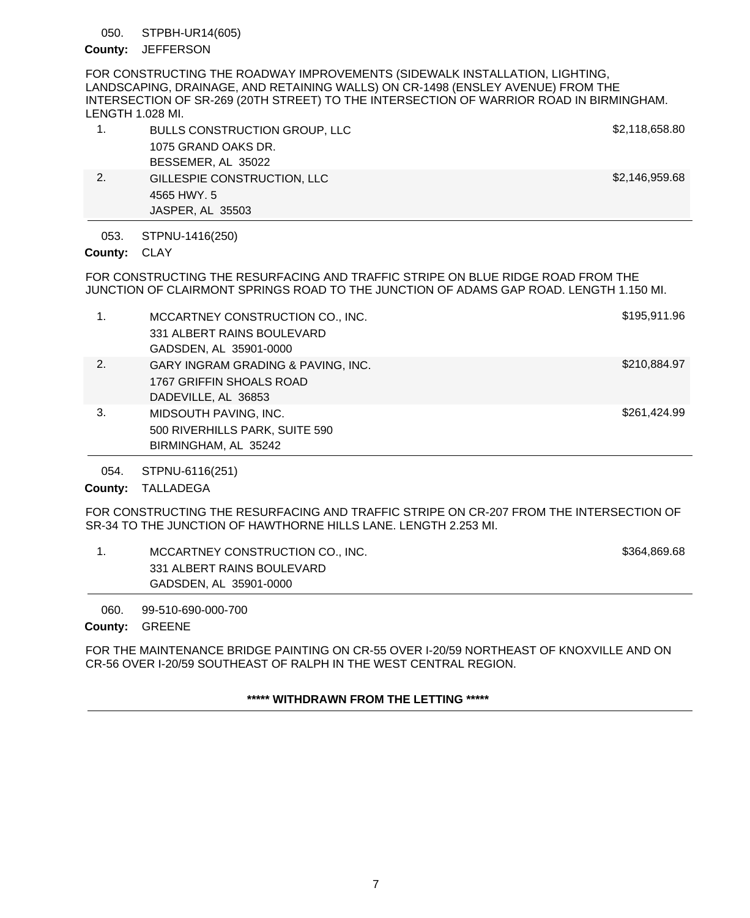#### STPBH-UR14(605) 050.

## County: JEFFERSON

FOR CONSTRUCTING THE ROADWAY IMPROVEMENTS (SIDEWALK INSTALLATION, LIGHTING, LANDSCAPING, DRAINAGE, AND RETAINING WALLS) ON CR-1498 (ENSLEY AVENUE) FROM THE INTERSECTION OF SR-269 (20TH STREET) TO THE INTERSECTION OF WARRIOR ROAD IN BIRMINGHAM. LENGTH 1.028 MI.

|    | BULLS CONSTRUCTION GROUP, LLC | \$2,118,658.80 |
|----|-------------------------------|----------------|
|    | 1075 GRAND OAKS DR.           |                |
|    | BESSEMER, AL 35022            |                |
| 2. | GILLESPIE CONSTRUCTION, LLC   | \$2,146,959.68 |
|    | 4565 HWY, 5                   |                |

STPNU-1416(250) 053.

JASPER, AL 35503

County: CLAY

FOR CONSTRUCTING THE RESURFACING AND TRAFFIC STRIPE ON BLUE RIDGE ROAD FROM THE JUNCTION OF CLAIRMONT SPRINGS ROAD TO THE JUNCTION OF ADAMS GAP ROAD. LENGTH 1.150 MI.

| $\mathbf 1$ . | MCCARTNEY CONSTRUCTION CO., INC.<br>331 ALBERT RAINS BOULEVARD<br>GADSDEN, AL 35901-0000 | \$195,911.96 |
|---------------|------------------------------------------------------------------------------------------|--------------|
| 2.            | GARY INGRAM GRADING & PAVING, INC.<br>1767 GRIFFIN SHOALS ROAD<br>DADEVILLE, AL 36853    | \$210,884.97 |
| 3.            | MIDSOUTH PAVING, INC.<br>500 RIVERHILLS PARK, SUITE 590<br>BIRMINGHAM, AL 35242          | \$261,424.99 |

STPNU-6116(251) 054.

County: TALLADEGA

FOR CONSTRUCTING THE RESURFACING AND TRAFFIC STRIPE ON CR-207 FROM THE INTERSECTION OF SR-34 TO THE JUNCTION OF HAWTHORNE HILLS LANE. LENGTH 2.253 MI.

1. MCCARTNEY CONSTRUCTION CO., INC. **1.1. Inc. 5364,869.68** 331 ALBERT RAINS BOULEVARD GADSDEN, AL 35901-0000

99-510-690-000-700 060.

## County: GREENE

FOR THE MAINTENANCE BRIDGE PAINTING ON CR-55 OVER I-20/59 NORTHEAST OF KNOXVILLE AND ON CR-56 OVER I-20/59 SOUTHEAST OF RALPH IN THE WEST CENTRAL REGION.

**\*\*\*\*\* WITHDRAWN FROM THE LETTING \*\*\*\*\***